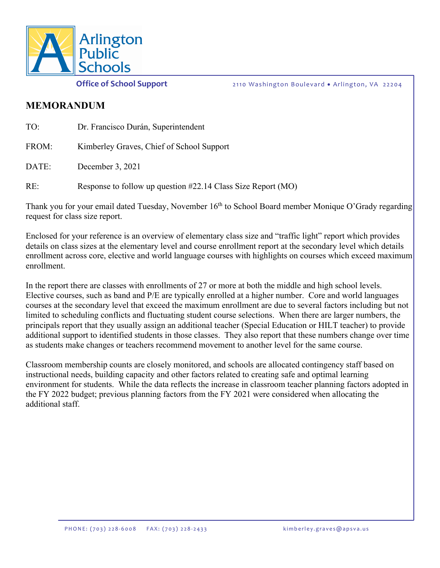

**Office of School Support** 2110 Washington Boulevard • Arlington, VA 22204

#### **MEMORANDUM**

| TO:   | Dr. Francisco Durán, Superintendent                          |
|-------|--------------------------------------------------------------|
| FROM: | Kimberley Graves, Chief of School Support                    |
| DATE: | December 3, 2021                                             |
| RE:   | Response to follow up question #22.14 Class Size Report (MO) |

Thank you for your email dated Tuesday, November 16<sup>th</sup> to School Board member Monique O'Grady regarding request for class size report.

Enclosed for your reference is an overview of elementary class size and "traffic light" report which provides details on class sizes at the elementary level and course enrollment report at the secondary level which details enrollment across core, elective and world language courses with highlights on courses which exceed maximum enrollment.

In the report there are classes with enrollments of 27 or more at both the middle and high school levels. Elective courses, such as band and P/E are typically enrolled at a higher number. Core and world languages courses at the secondary level that exceed the maximum enrollment are due to several factors including but not limited to scheduling conflicts and fluctuating student course selections. When there are larger numbers, the principals report that they usually assign an additional teacher (Special Education or HILT teacher) to provide additional support to identified students in those classes. They also report that these numbers change over time as students make changes or teachers recommend movement to another level for the same course.

Classroom membership counts are closely monitored, and schools are allocated contingency staff based on instructional needs, building capacity and other factors related to creating safe and optimal learning environment for students. While the data reflects the increase in classroom teacher planning factors adopted in the FY 2022 budget; previous planning factors from the FY 2021 were considered when allocating the additional staff.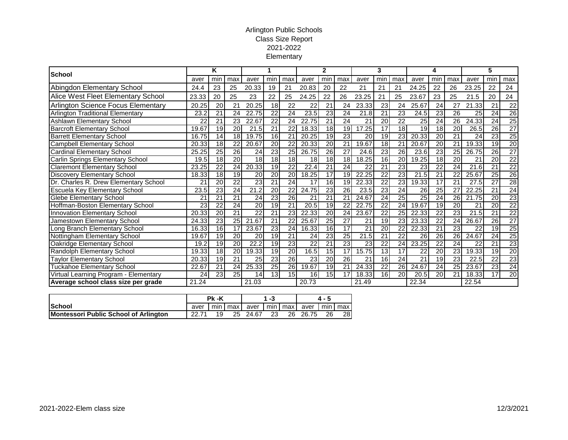#### Arlington Public Schools Class Size Report 2021-2022 Elementary

| <b>School</b>                             |       | Κ               |                 |                 |                 |                 |                    | 2               |                 |       | 3               |                 |                 | 4               |                 |                 | 5               |                 |  |
|-------------------------------------------|-------|-----------------|-----------------|-----------------|-----------------|-----------------|--------------------|-----------------|-----------------|-------|-----------------|-----------------|-----------------|-----------------|-----------------|-----------------|-----------------|-----------------|--|
|                                           | aver  | min             | max             | aver            | min             | max             | aver               | min             | max             | aver  | min             | max             | aver            | min             | max             | aver            | min             | max             |  |
| Abingdon Elementary School                | 24.4  | 23              | 25              | 20.33           | 19              | 21              | 20.83              | 20              | 22              | 21    | 21              | 21              | 24.25           | 22              | 26              | 23.25           | 22              | 24              |  |
| Alice West Fleet Elementary School        | 23.33 | 20              | 25              | 23              | 22              | 25              | 24.25              | 22              | 26              | 23.25 | 21              | 25              | 23.67           | 23              | 25              | 21.5            | 20              | 24              |  |
| <b>Arlington Science Focus Elementary</b> | 20.25 | 20              | 21              | 20.25           | 18              | 22              | 22                 | 21              | 24              | 23.33 | 23              | 24              | 25.67           | 24              | 27              | 21.33           | 21              | 22              |  |
| <b>Arlington Traditional Elementary</b>   | 23.2  | 21              | 24              | 22.75           | $\overline{22}$ | 24              | 23.5               | $\overline{23}$ | $\overline{24}$ | 21.8  | 21              | 23              | 24.5            | 23              | $\overline{26}$ | 25              | $\overline{24}$ | 26              |  |
| <b>Ashlawn Elementary School</b>          | 22    | 21              | 23              | 22.67           | 22              | 24              | 22.75              | 21              | 24              | 21    | 20              | 22              | 25              | $\overline{24}$ | 26              | 24.33           | 24              | 25              |  |
| <b>Barcroft Elementary School</b>         | 19.67 | 19              | 20 <sub>l</sub> | 21.5            | 21              | 22              | 18.33              | 18 <sup>l</sup> | 19              | 17.25 | 17              | $\overline{18}$ | 19              | 18              | 20              | 26.5            | 26              | $\overline{27}$ |  |
| <b>Barrett Elementary School</b>          | 16.75 | 14              | 18              | 19.75           | 16              | 21              | $\overline{20.25}$ | 19              | 23              | 20    | 19              | $\overline{23}$ | 20.33           | 20              | 21              | 24              | 23              | 25              |  |
| <b>Campbell Elementary School</b>         | 20.33 | 18              | 22              | 20.67           | 20 <sup>2</sup> | 22              | 20.33              | 20              | 21              | 19.67 | 18              | 21              | 20.67           | 20              | 21              | 19.33           | 19              | 20              |  |
| <b>Cardinal Elementary School</b>         | 25.25 | $\overline{25}$ | 26              | 24              | 23              | 25              | 26.75              | 26              | $\overline{27}$ | 24.6  | 23              | 26              | 23.6            | 23              | 25              | 26.75           | 26              | $\overline{27}$ |  |
| <b>Carlin Springs Elementary School</b>   | 19.5  | 18              | 20 <sub>l</sub> | 18              | 18 <sup>1</sup> | 18              | 18                 | 18              | 18              | 18.25 | 16              | 20              | 19.25           | 18              | 20              | 21              | 20              | 22              |  |
| <b>Claremont Elementary School</b>        | 23.25 | $\overline{22}$ | 24              | 20.33           | 19              | 22              | 22.4               | 21              | 24              | 22    | 21              | $\overline{23}$ | 23              | $\overline{22}$ | 24              | 21.6            | 21              | $\overline{22}$ |  |
| <b>Discovery Elementary School</b>        | 18.33 | $\overline{18}$ | 19              | 20              | 20 <sup>2</sup> | 20              | 18.25              | 17              | 19              | 22.25 | $\overline{22}$ | 23              | 21.5            | $\overline{21}$ | 22              | 25.67           | 25              | 26              |  |
| Dr. Charles R. Drew Elementary School     | 21    | 20              | 22              | 23              | 21              | 24              | 17                 | 16              | 19              | 22.33 | 22              | 23              | 19.33           | 17              | 21              | 27.5            | 27              | 28              |  |
| Escuela Key Elementary School             | 23.5  | 23              | 24              | 21.2            | 20 <sup>1</sup> | 22              | 24.75              | 23              | 26              | 23.5  | $\overline{23}$ | 24              | 26              | 25              | 27              | 22.25           | 21              | 24              |  |
| <b>Glebe Elementary School</b>            | 21    | 21              | 21              | 24              | 23              | 26              | 21                 | 21              | 21              | 24.67 | 24              | 25              | $\overline{25}$ | 24              | 26              | 21.75           | 20              | 23              |  |
| Hoffman-Boston Elementary School          | 23    | $\overline{22}$ | 24              | 20              | 19              | 21              | 20.5               | 19              | 22              | 22.75 | 22              | 24              | 19.67           | 19              | 20              | 21              | $\overline{20}$ | $\overline{22}$ |  |
| Innovation Elementary School              | 20.33 | $\overline{20}$ | $\overline{21}$ | $\overline{22}$ | 21              | $\overline{23}$ | 22.33              | 20              | $\overline{24}$ | 23.67 | $\overline{22}$ | 25              | 22.33           | $\overline{22}$ | 23              | 21.5            | $\overline{21}$ | $\overline{22}$ |  |
| Jamestown Elementary School               | 24.33 | 23              | 25              | 21.67           | 21              | 22              | 25.67              | $\overline{25}$ | $\overline{27}$ | 21    | 19              | 23              | 23.33           | $\overline{22}$ | $\overline{24}$ | 26.67           | 26              | $\overline{27}$ |  |
| Long Branch Elementary School             | 16.33 | 16              | 17              | 23.67           | 23              | 24              | 16.33              | 16              | 17              | 21    | 20              | 22              | 22.33           | $\overline{21}$ | 23              | 22              | 19              | 25              |  |
| Nottingham Elementary School              | 19.67 | 19              | 20 <sub>l</sub> | 20              | 19              | 21              | 24                 | $\overline{23}$ | $\overline{25}$ | 21.5  | 21              | 22              | 26              | 26              | 26              | 24.67           | 24              | 25              |  |
| Oakridge Elementary School                | 19.2  | 19              | 20 <sub>l</sub> | 22.2            | 19              | $\overline{23}$ | $\overline{22}$    | 21              | 23              | 23    | $\overline{22}$ | 24              | 23.25           | $\overline{22}$ | $\overline{24}$ | $\overline{22}$ | $\overline{21}$ | 23              |  |
| Randolph Elementary School                | 19.33 | 18              | 20 <sub>l</sub> | 19.33           | 19              | 20              | 16.5               | 15              | 17              | 15.75 | 13              | 17              | 22              | $\overline{20}$ | 23              | 19.33           | 19              | 20              |  |
| <b>Taylor Elementary School</b>           | 20.33 | 19              | $\overline{21}$ | 25              | 23              | $\overline{26}$ | 23                 | 20              | $\overline{26}$ | 21    | 16              | $\overline{24}$ | $\overline{21}$ | 19              | $\overline{23}$ | 22.5            | $\overline{22}$ | 23              |  |
| <b>Tuckahoe Elementary School</b>         | 22.67 | 21              | 24              | 25.33           | 25              | 26              | 19.67              | 19              | 21              | 24.33 | 22              | 26              | 24.67           | 24              | 25              | 23.67           | 23              | 24              |  |
| Virtual Learning Program - Elementary     | 24    | 23              | $\overline{25}$ | 14              | 13              | 15              | 16                 | 15              | $\overline{17}$ | 18.33 | 16              | $\overline{20}$ | 20.5            | $\overline{20}$ | $\overline{21}$ | 18.33           | $\overline{17}$ | 20              |  |
| Average school class size per grade       | 21.24 |                 |                 | 21.03           |                 |                 | 20.73              |                 |                 | 21.49 |                 |                 | 22.34           |                 |                 | 22.54           |                 |                 |  |

|                                       | Pk -K |    |               |                    | 1 - 3 |                    |    |     |
|---------------------------------------|-------|----|---------------|--------------------|-------|--------------------|----|-----|
| <b>ISchool</b>                        | aver  |    | I min I max I | aver I min I max I |       | aver I min I max I |    |     |
| Montessori Public School of Arlington | 22.71 | 19 |               | 25 24.67           | -23   | 26 26.75           | 26 | 28I |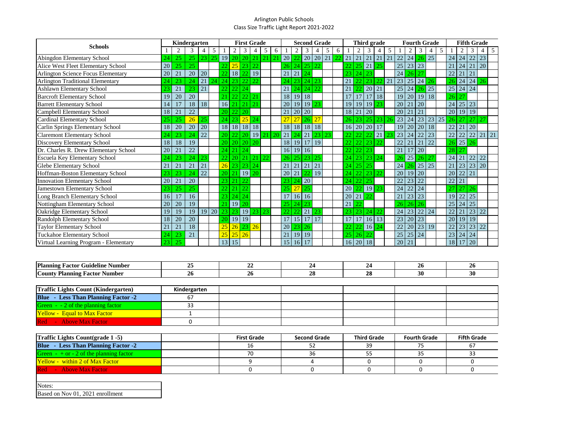### Arlington Public Schools Class Size Traffic Light Report 2021-2022

| <b>Schools</b>                              | Kindergarten |    |              |                    |                         | <b>First Grade</b> |                      |                    |                | <b>Second Grade</b>                  |    |                            |                                    | Third grade          |                     |                 |       |                 | <b>Fourth Grade</b>  |                              |                |          |                 | <b>Fifth Grade</b>      |                   |                           |    |                 |                           |                         |          |                |
|---------------------------------------------|--------------|----|--------------|--------------------|-------------------------|--------------------|----------------------|--------------------|----------------|--------------------------------------|----|----------------------------|------------------------------------|----------------------|---------------------|-----------------|-------|-----------------|----------------------|------------------------------|----------------|----------|-----------------|-------------------------|-------------------|---------------------------|----|-----------------|---------------------------|-------------------------|----------|----------------|
|                                             |              | 2  | 3            | 4                  | $5\overline{)}$         |                    | $\overline{2}$       | 3                  | $\overline{4}$ | $5\overline{)}$                      | 6  |                            | $\overline{2}$                     | 3                    | $\overline{4}$      | $5\overline{)}$ | 6     |                 | 2                    | 3                            | $\overline{4}$ | 5        |                 | $\overline{2}$          | 3                 | $\overline{4}$            | 5  |                 | 2                         | 3                       | $4 \mid$ | 5 <sup>5</sup> |
| <b>Abingdon Elementary School</b>           | 24           | 25 | 25           |                    | 23 25 19 20 20 21 21 21 |                    |                      |                    |                |                                      |    |                            | $20 \,   \, 22 \,   \, 20 \,   \,$ |                      |                     | 20 21 22        |       |                 | $21 \mid 21 \mid 21$ |                              | 21             | 21       | 22              |                         |                   | $24 \mid 26 \mid 25 \mid$ |    |                 | $24$ 24                   | 22                      | 23       |                |
| Alice West Fleet Elementary School          | 20           | 25 | 25           |                    |                         | 22                 | 25                   | 23                 | 22             |                                      |    |                            | 26 24 25 22                        |                      |                     |                 |       | 22 <sup>1</sup> |                      | $25$ 21                      | 25             |          | 25              | $23 \mid 23$            |                   |                           |    |                 | 21 24                     |                         | 21 20    |                |
| <b>Arlington Science Focus Elementary</b>   | 20           | 21 | 20           | 20                 |                         | 22                 | 18                   | 22                 | 19             |                                      |    | 21                         | 21 24                              |                      |                     |                 |       | 23              | $\vert 24 \vert 23$  |                              |                |          | 24              | 26 27                   |                   |                           |    |                 | 22 21                     | 21                      |          |                |
| <b>Arlington Traditional Elementary</b>     | 24           | 23 | 24           | $21 \overline{24}$ |                         |                    | $24 \mid 23 \mid 22$ |                    | 22             |                                      |    | 24                         |                                    | 23 24 23             |                     |                 |       | 21              |                      | 22 23                        |                |          | 23              |                         |                   | $25 \mid 24 \mid 26$      |    |                 | $26$ 24 24 26             |                         |          |                |
| <b>Ashlawn Elementary School</b>            | 23           | 21 | 23           | 21                 |                         |                    | $22$   22   24       |                    |                |                                      |    | 21                         |                                    | $24 \mid 24 \mid 22$ |                     |                 |       | 21              |                      | 22 20                        | 21             |          | 25              | 24                      |                   | $26$ 25                   |    |                 | $25 \mid 24 \mid 24 \mid$ |                         |          |                |
| <b>Barcroft Elementary School</b>           | 19           | 20 | 20           |                    |                         | 21                 | 22 22                |                    | 21             |                                      |    | 18                         |                                    | 19 18                |                     |                 |       | 17              |                      | 17 17                        | 18             |          | 19              |                         |                   | 20 19 18                  |    | 26 27           |                           |                         |          |                |
| <b>Barrett Elementary School</b>            | 14           | 17 | 18           | 18                 |                         |                    | $16$ 21 21 21        |                    |                |                                      |    | 20                         |                                    | 19 19 23             |                     |                 |       | 19              |                      | 19 19                        | 23             |          | 20              | 21                      | $\vert$ 20        |                           |    |                 | 24 25 23                  |                         |          |                |
| <b>Campbell Elementary School</b>           | 18           | 21 | 22           |                    |                         |                    | $20 \mid 22 \mid 20$ |                    |                |                                      |    | 21                         | $\vert 20 \vert 20$                |                      |                     |                 |       | 18              | $\vert 21 \vert 20$  |                              |                |          | 20 <sup>1</sup> | 21                      | 21                |                           |    |                 | 20 19 19                  |                         |          |                |
| <b>Cardinal Elementary School</b>           | 25           | 25 | 26           | 25                 | $24$ 23 $25$ 24         |                    |                      | 27                 | 27             | $26 \overline{27}$                   |    |                            |                                    | 26                   | 23                  | 25              | 23 26 |                 | 23                   |                              |                | 24 23 23 | 25              | 26 27                   |                   | $27 \mid 27$              |    |                 |                           |                         |          |                |
| <b>Carlin Springs Elementary School</b>     | 18           | 20 | 20           | 20                 |                         | 18 18 18<br>18     |                      |                    | $18$   18   18 |                                      | 18 |                            |                                    |                      |                     | 16 20 20        | 17    |                 | 19                   |                              | 20 20          | 18       |                 | 22 21                   |                   | 20                        |    |                 |                           |                         |          |                |
| <b>Claremont Elementary School</b>          | 24           | 23 | 24           | 22                 |                         |                    |                      |                    |                | 20 22 20 19 21 20                    |    |                            | $21 \,   \, 24 \,   \, 21 \,   \,$ |                      | 23 23               |                 |       |                 |                      | 22 22 22 21 23               |                |          | 23              |                         |                   | $24 \mid 22 \mid 23 \mid$ |    |                 | 22 22                     |                         | 22 21 21 |                |
| <b>Discovery Elementary School</b>          | 18           | 18 | 19           |                    |                         |                    | 20 20 20 20          |                    |                |                                      |    |                            | 18 19 17 19                        |                      |                     |                 |       | 22              |                      | 22 23                        | 22             |          | 22              | 21                      | 21                | 22                        |    |                 | 26 25                     | 26                      |          |                |
| Dr. Charles R. Drew Elementary School       | 20           | 21 | 22           |                    |                         |                    | $24 \mid 21 \mid 24$ |                    |                |                                      |    |                            | $16$ 19 16                         |                      |                     |                 |       |                 | $22 \mid 22 \mid 23$ |                              |                |          | 21              | 17                      | $\vert$ 20        |                           |    |                 | 28 27                     |                         |          |                |
| <b>Escuela Key Elementary School</b>        | 24           | 23 | 24           | 23                 |                         |                    |                      |                    |                | $22 \mid 20 \mid 21 \mid 21 \mid 22$ |    |                            | 26 25 23 25                        |                      |                     |                 |       | 24              |                      | $23 \mid 23 \mid 24$         |                |          | 26              | $25 \mid 26 \mid 27$    |                   |                           |    |                 | 24 21                     | 22 22                   |          |                |
| <b>Glebe Elementary School</b>              | 21           | 21 | 21           | 21                 |                         |                    | $26$ 23 23 24        |                    |                |                                      |    | 21                         | $\vert 21 \vert 21$                |                      | 21                  |                 |       | 24              |                      | $25 \mid 25$                 |                |          | 24              | 26                      |                   | $\vert 25 \vert 25$       |    | 21              | 23                        |                         | 23 20    |                |
| Hoffman-Boston Elementary School            | 23           | 23 | 24           | 22                 |                         |                    | 20 21 19             |                    | <sup>20</sup>  |                                      |    |                            | 20 21                              | 22                   | <sup>19</sup>       |                 |       | 24              |                      | $22 \mid 23 \mid 22$         |                |          | 20 <sup>1</sup> | $19 \mid 20$            |                   |                           |    |                 | $20 \mid 22 \mid 21$      |                         |          |                |
| <b>Innovation Elementary School</b>         | 20           | 21 | 20           |                    |                         |                    | 23 21 22             |                    |                |                                      |    |                            | $23 \mid 24 \mid 20$               |                      |                     |                 |       | 24              |                      | 22 25                        |                |          | 22              |                         | $23\overline{22}$ |                           |    | 22 21           |                           |                         |          |                |
| <b>Jamestown Elementary School</b>          | 23           | 25 | 25           |                    |                         |                    | $22 \mid 21 \mid 22$ |                    |                |                                      |    | 25                         | $27$ 25                            |                      |                     |                 |       |                 |                      | $20 \mid 22 \mid 19 \mid 23$ |                |          | 24              | $22 \mid 24$            |                   |                           |    |                 | $27 \mid 27 \mid 26$      |                         |          |                |
| Long Branch Elementary School               | 16           | 17 | 16           |                    |                         |                    | $23 \mid 24 \mid 24$ |                    |                |                                      |    |                            | 17 16 16                           |                      |                     |                 |       |                 | 20 21 22             |                              |                |          | 21              | $23 \mid 23$            |                   |                           |    |                 | 19 22                     | 25                      |          |                |
| <b>Nottingham Elementary School</b>         | 20           | 20 | 19           |                    |                         |                    | 21   19   20         |                    |                |                                      |    |                            | $25 \mid 24 \mid 23$               |                      |                     |                 |       | 21              | 22                   |                              |                |          | 26              | $\sqrt{26}$ 26          |                   |                           |    |                 | 25 24                     | 25                      |          |                |
| <b>Oakridge Elementary School</b>           | 19           | 19 | 19           |                    | 19 20                   |                    |                      |                    |                | 23 23 19 23 23                       |    |                            | $22$ 22 21                         |                      | 23                  |                 |       | 23              |                      | 23 24 22                     |                |          | 24              |                         |                   | $23$ $22$ $24$            |    |                 | 22 21                     | $23$ 22                 |          |                |
| Randolph Elementary School                  | 18           | 20 | 20           |                    |                         | 20                 |                      | 19 19              |                |                                      |    |                            | $17$   15  17                      |                      | 17                  |                 |       | 17              |                      | 17 16 13                     |                |          | 23              | 20 23                   |                   |                           |    | 20 <sup>1</sup> | 19                        | 19                      |          |                |
| <b>Taylor Elementary School</b>             | 21           | 21 | 18           |                    |                         | 25                 | 26                   | 23                 | 26             |                                      |    | 20                         |                                    | 23 26                |                     |                 |       | 22              |                      | 22 16                        | 24             |          | $\overline{22}$ | 20                      | 23                | 19                        |    | 22              | 23                        | $\sqrt{23}$ $\sqrt{22}$ |          |                |
| <b>Tuckahoe Elementary School</b>           | 24           | 23 | 21           |                    |                         | 25                 | $25 \mid 26$         |                    |                |                                      |    | 21                         | 19 19                              |                      |                     |                 |       |                 | $25 \mid 26 \mid 22$ |                              |                |          | 25              | $\sqrt{25}$ $\sqrt{24}$ |                   |                           |    |                 | $\boxed{23}$ 24 24        |                         |          |                |
| Virtual Learning Program - Elementary       | 23           | 25 |              |                    |                         |                    | 13 15                |                    |                |                                      |    |                            | 15 16 17                           |                      |                     |                 |       |                 |                      | $16$ 20 18                   |                |          | 20 21           |                         |                   |                           |    |                 | 18   17                   | 20                      |          |                |
|                                             |              |    |              |                    |                         |                    |                      |                    |                |                                      |    |                            |                                    |                      |                     |                 |       |                 |                      |                              |                |          |                 |                         |                   |                           |    |                 |                           |                         |          |                |
|                                             |              |    |              |                    |                         |                    |                      |                    |                |                                      |    |                            |                                    |                      |                     |                 |       |                 |                      |                              |                |          |                 |                         |                   |                           |    |                 |                           |                         |          |                |
| <b>Planning Factor Guideline Number</b>     |              |    | 25           |                    |                         |                    |                      |                    | 22             |                                      |    |                            |                                    |                      | 24                  |                 |       |                 |                      | 24                           |                |          |                 |                         | 26                |                           |    |                 |                           | 26                      |          |                |
| <b>County Planning Factor Number</b>        |              |    | 26           |                    |                         |                    |                      |                    | 26             |                                      |    |                            |                                    |                      | 28                  |                 |       |                 |                      | 28                           |                |          |                 |                         | 30                |                           |    |                 |                           | 30                      |          |                |
|                                             |              |    |              |                    |                         |                    |                      |                    |                |                                      |    |                            |                                    |                      |                     |                 |       |                 |                      |                              |                |          |                 |                         |                   |                           |    |                 |                           |                         |          |                |
| <b>Traffic Lights Count (Kindergarten)</b>  |              |    | Kindergarten |                    |                         |                    |                      |                    |                |                                      |    |                            |                                    |                      |                     |                 |       |                 |                      |                              |                |          |                 |                         |                   |                           |    |                 |                           |                         |          |                |
| <b>Blue</b> - Less Than Planning Factor -2  |              |    | 67           |                    |                         |                    |                      |                    |                |                                      |    |                            |                                    |                      |                     |                 |       |                 |                      |                              |                |          |                 |                         |                   |                           |    |                 |                           |                         |          |                |
| Green $-2$ of the planning factor           |              |    | 33           |                    |                         |                    |                      |                    |                |                                      |    |                            |                                    |                      |                     |                 |       |                 |                      |                              |                |          |                 |                         |                   |                           |    |                 |                           |                         |          |                |
| <b>Yellow - Equal to Max Factor</b>         |              |    | $\mathbf{1}$ |                    |                         |                    |                      |                    |                |                                      |    |                            |                                    |                      |                     |                 |       |                 |                      |                              |                |          |                 |                         |                   |                           |    |                 |                           |                         |          |                |
| Red - Above Max Factor                      |              |    | 0            |                    |                         |                    |                      |                    |                |                                      |    |                            |                                    |                      |                     |                 |       |                 |                      |                              |                |          |                 |                         |                   |                           |    |                 |                           |                         |          |                |
|                                             |              |    |              |                    |                         |                    |                      |                    |                |                                      |    |                            |                                    |                      |                     |                 |       |                 |                      |                              |                |          |                 |                         |                   |                           |    |                 |                           |                         |          |                |
| <b>Traffic Lights Count(grade 1 -5)</b>     |              |    |              |                    |                         |                    |                      | <b>First Grade</b> |                |                                      |    |                            |                                    |                      | <b>Second Grade</b> |                 |       |                 |                      | <b>Third Grade</b>           |                |          |                 |                         |                   | <b>Fourth Grade</b>       |    |                 |                           | <b>Fifth Grade</b>      |          |                |
| <b>Blue</b> - Less Than Planning Factor -2  |              |    |              |                    |                         |                    |                      |                    | 16             |                                      |    |                            |                                    |                      | 52                  |                 |       |                 |                      | 39                           |                |          |                 |                         | 75                |                           |    |                 |                           | 67                      |          |                |
| Green $- +$ or $- 2$ of the planning factor |              |    |              |                    |                         | 70                 |                      |                    |                |                                      |    | 36                         |                                    |                      |                     |                 | 55    |                 |                      |                              |                | 35       |                 |                         |                   |                           | 33 |                 |                           |                         |          |                |
| <b>Yellow - within 2 of Max Factor</b>      |              |    |              |                    |                         | 9                  |                      |                    |                | 4                                    |    |                            | 0                                  |                      |                     |                 |       |                 | $\mathsf{O}$         |                              |                |          |                 | $\mathbf 0$             |                   |                           |    |                 |                           |                         |          |                |
| Red - Above Max Factor                      |              |    |              |                    |                         |                    |                      |                    | 0              |                                      |    | $\mathbf 0$<br>$\mathbf 0$ |                                    |                      |                     |                 |       |                 |                      | 0                            |                |          |                 |                         | $\mathbf 0$       |                           |    |                 |                           |                         |          |                |
|                                             |              |    |              |                    |                         |                    |                      |                    |                |                                      |    |                            |                                    |                      |                     |                 |       |                 |                      |                              |                |          |                 |                         |                   |                           |    |                 |                           |                         |          |                |
| Notes:                                      |              |    |              |                    |                         |                    |                      |                    |                |                                      |    |                            |                                    |                      |                     |                 |       |                 |                      |                              |                |          |                 |                         |                   |                           |    |                 |                           |                         |          |                |
| Based on Nov 01, 2021 enrollment            |              |    |              |                    |                         |                    |                      |                    |                |                                      |    |                            |                                    |                      |                     |                 |       |                 |                      |                              |                |          |                 |                         |                   |                           |    |                 |                           |                         |          |                |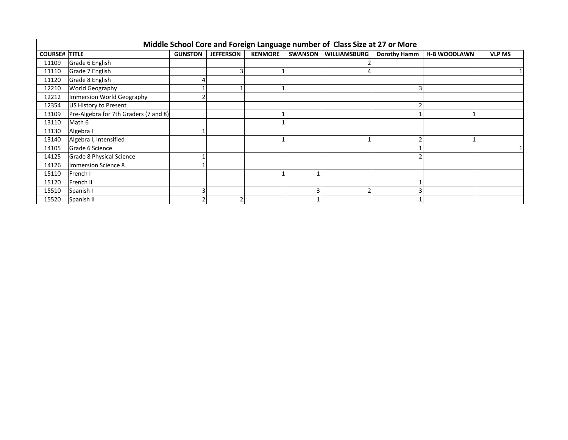|                      | Middle School Core and Foreign Language number of Class Size at 27 or More |                |                  |                |                |                     |                     |                     |               |  |  |  |  |  |
|----------------------|----------------------------------------------------------------------------|----------------|------------------|----------------|----------------|---------------------|---------------------|---------------------|---------------|--|--|--|--|--|
| <b>COURSE# TITLE</b> |                                                                            | <b>GUNSTON</b> | <b>JEFFERSON</b> | <b>KENMORE</b> | <b>SWANSON</b> | <b>WILLIAMSBURG</b> | <b>Dorothy Hamm</b> | <b>H-B WOODLAWN</b> | <b>VLP MS</b> |  |  |  |  |  |
| 11109                | Grade 6 English                                                            |                |                  |                |                |                     |                     |                     |               |  |  |  |  |  |
| 11110                | Grade 7 English                                                            |                |                  |                |                |                     |                     |                     |               |  |  |  |  |  |
| 11120                | Grade 8 English                                                            |                |                  |                |                |                     |                     |                     |               |  |  |  |  |  |
| 12210                | <b>World Geography</b>                                                     |                |                  |                |                |                     |                     |                     |               |  |  |  |  |  |
| 12212                | Immersion World Geography                                                  |                |                  |                |                |                     |                     |                     |               |  |  |  |  |  |
| 12354                | US History to Present                                                      |                |                  |                |                |                     |                     |                     |               |  |  |  |  |  |
| 13109                | Pre-Algebra for 7th Graders (7 and 8)                                      |                |                  |                |                |                     |                     |                     |               |  |  |  |  |  |
| 13110                | Math 6                                                                     |                |                  |                |                |                     |                     |                     |               |  |  |  |  |  |
| 13130                | Algebra I                                                                  |                |                  |                |                |                     |                     |                     |               |  |  |  |  |  |
| 13140                | Algebra I, Intensified                                                     |                |                  |                |                |                     |                     |                     |               |  |  |  |  |  |
| 14105                | Grade 6 Science                                                            |                |                  |                |                |                     |                     |                     |               |  |  |  |  |  |
| 14125                | Grade 8 Physical Science                                                   |                |                  |                |                |                     |                     |                     |               |  |  |  |  |  |
| 14126                | <b>Immersion Science 8</b>                                                 |                |                  |                |                |                     |                     |                     |               |  |  |  |  |  |
| 15110                | French I                                                                   |                |                  |                |                |                     |                     |                     |               |  |  |  |  |  |
| 15120                | French II                                                                  |                |                  |                |                |                     |                     |                     |               |  |  |  |  |  |
| 15510                | Spanish I                                                                  |                |                  |                |                |                     |                     |                     |               |  |  |  |  |  |
| 15520                | Spanish II                                                                 |                |                  |                |                |                     |                     |                     |               |  |  |  |  |  |

## **Middle School Core and Foreign Language number of Class Size at 27 or More**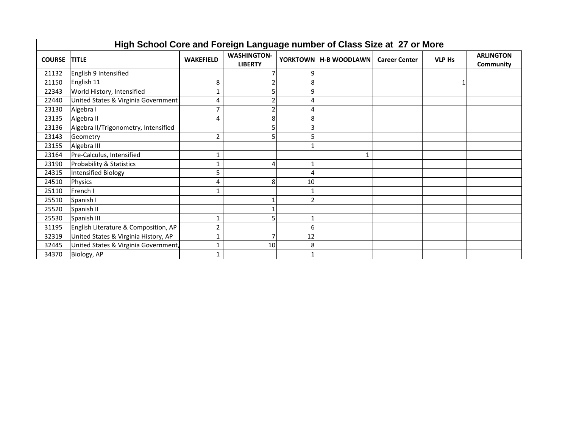|               | High School Core and Foreign Language number of Class Size at 27 or More |                  |                                      |                |                         |                      |               |                               |  |  |  |  |  |
|---------------|--------------------------------------------------------------------------|------------------|--------------------------------------|----------------|-------------------------|----------------------|---------------|-------------------------------|--|--|--|--|--|
| <b>COURSE</b> | <b>TITLE</b>                                                             | <b>WAKEFIELD</b> | <b>WASHINGTON-</b><br><b>LIBERTY</b> |                | YORKTOWN   H-B WOODLAWN | <b>Career Center</b> | <b>VLP Hs</b> | <b>ARLINGTON</b><br>Community |  |  |  |  |  |
| 21132         | English 9 Intensified                                                    |                  |                                      | 9              |                         |                      |               |                               |  |  |  |  |  |
| 21150         | English 11                                                               | 8                |                                      | 8              |                         |                      |               |                               |  |  |  |  |  |
| 22343         | World History, Intensified                                               | $\mathbf{1}$     |                                      | 9              |                         |                      |               |                               |  |  |  |  |  |
| 22440         | United States & Virginia Government                                      | 4                |                                      | 4              |                         |                      |               |                               |  |  |  |  |  |
| 23130         | Algebra I                                                                | $\overline{7}$   |                                      | 4              |                         |                      |               |                               |  |  |  |  |  |
| 23135         | Algebra II                                                               | $\overline{4}$   | 8                                    | 8              |                         |                      |               |                               |  |  |  |  |  |
| 23136         | Algebra II/Trigonometry, Intensified                                     |                  |                                      | 3              |                         |                      |               |                               |  |  |  |  |  |
| 23143         | Geometry                                                                 | $\overline{2}$   |                                      | 5              |                         |                      |               |                               |  |  |  |  |  |
| 23155         | Algebra III                                                              |                  |                                      |                |                         |                      |               |                               |  |  |  |  |  |
| 23164         | Pre-Calculus, Intensified                                                | $\mathbf 1$      |                                      |                |                         |                      |               |                               |  |  |  |  |  |
| 23190         | <b>Probability &amp; Statistics</b>                                      | $\mathbf{1}$     | 4                                    | $\mathbf{1}$   |                         |                      |               |                               |  |  |  |  |  |
| 24315         | Intensified Biology                                                      | 5                |                                      | $\overline{4}$ |                         |                      |               |                               |  |  |  |  |  |
| 24510         | <b>Physics</b>                                                           | $\overline{4}$   | 8                                    | 10             |                         |                      |               |                               |  |  |  |  |  |
| 25110         | French I                                                                 |                  |                                      |                |                         |                      |               |                               |  |  |  |  |  |
| 25510         | Spanish I                                                                |                  |                                      | $\overline{2}$ |                         |                      |               |                               |  |  |  |  |  |
| 25520         | Spanish II                                                               |                  |                                      |                |                         |                      |               |                               |  |  |  |  |  |
| 25530         | Spanish III                                                              | $\mathbf{1}$     |                                      | $\mathbf 1$    |                         |                      |               |                               |  |  |  |  |  |
| 31195         | English Literature & Composition, AP                                     | $\overline{2}$   |                                      | 6              |                         |                      |               |                               |  |  |  |  |  |
| 32319         | United States & Virginia History, AP                                     | $\mathbf 1$      |                                      | 12             |                         |                      |               |                               |  |  |  |  |  |
| 32445         | United States & Virginia Government,                                     | $\mathbf{1}$     | 10                                   | 8              |                         |                      |               |                               |  |  |  |  |  |
| 34370         | Biology, AP                                                              | $\mathbf{1}$     |                                      | $\mathbf 1$    |                         |                      |               |                               |  |  |  |  |  |

# **High School Core and Foreign Language number of Class Size at 27 or More**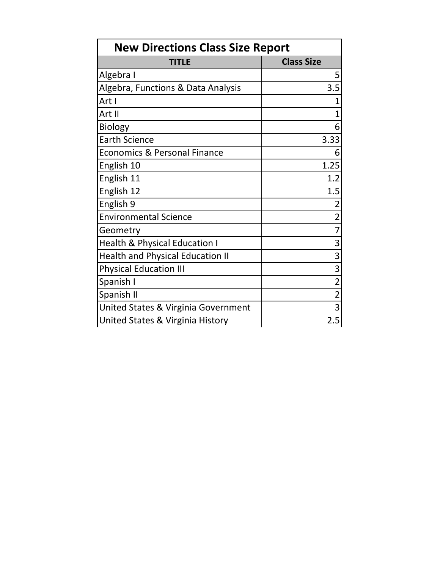| <b>New Directions Class Size Report</b>  |                   |  |  |  |  |  |  |  |  |
|------------------------------------------|-------------------|--|--|--|--|--|--|--|--|
| <b>TITLE</b>                             | <b>Class Size</b> |  |  |  |  |  |  |  |  |
| Algebra I                                | 5                 |  |  |  |  |  |  |  |  |
| Algebra, Functions & Data Analysis       | 3.5               |  |  |  |  |  |  |  |  |
| Art I                                    |                   |  |  |  |  |  |  |  |  |
| Art II                                   |                   |  |  |  |  |  |  |  |  |
| <b>Biology</b>                           | 6                 |  |  |  |  |  |  |  |  |
| <b>Earth Science</b>                     | 3.33              |  |  |  |  |  |  |  |  |
| <b>Economics &amp; Personal Finance</b>  | 6                 |  |  |  |  |  |  |  |  |
| English 10                               | 1.25              |  |  |  |  |  |  |  |  |
| English 11                               | 1.2               |  |  |  |  |  |  |  |  |
| English 12                               | 1.5               |  |  |  |  |  |  |  |  |
| English 9                                | $\overline{2}$    |  |  |  |  |  |  |  |  |
| <b>Environmental Science</b>             | $\overline{2}$    |  |  |  |  |  |  |  |  |
| Geometry                                 | 7                 |  |  |  |  |  |  |  |  |
| <b>Health &amp; Physical Education I</b> | 3                 |  |  |  |  |  |  |  |  |
| <b>Health and Physical Education II</b>  | 3                 |  |  |  |  |  |  |  |  |
| <b>Physical Education III</b>            | 3                 |  |  |  |  |  |  |  |  |
| Spanish I                                | $\overline{2}$    |  |  |  |  |  |  |  |  |
| Spanish II                               | $\overline{2}$    |  |  |  |  |  |  |  |  |
| United States & Virginia Government      | $\overline{3}$    |  |  |  |  |  |  |  |  |
| United States & Virginia History         | 2.5               |  |  |  |  |  |  |  |  |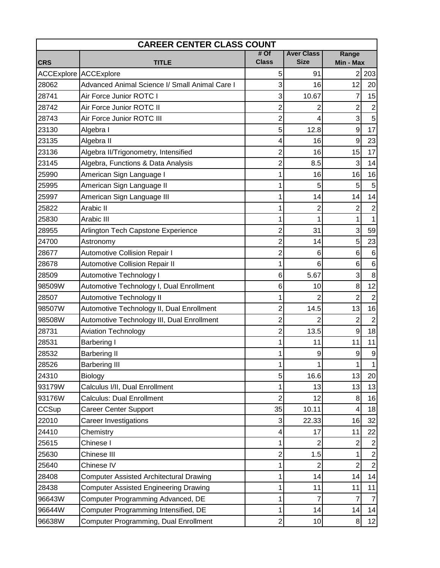| <b>CAREER CENTER CLASS COUNT</b> |                                                |                |                   |                                  |  |  |  |  |  |  |  |  |
|----------------------------------|------------------------------------------------|----------------|-------------------|----------------------------------|--|--|--|--|--|--|--|--|
|                                  |                                                | $#$ Of         | <b>Aver Class</b> | Range                            |  |  |  |  |  |  |  |  |
| <b>CRS</b>                       | <b>TITLE</b>                                   | <b>Class</b>   | <b>Size</b>       | Min - Max                        |  |  |  |  |  |  |  |  |
|                                  | <b>ACCExplore ACCExplore</b>                   | 5              | 91                | 2<br>203                         |  |  |  |  |  |  |  |  |
| 28062                            | Advanced Animal Science I/ Small Animal Care I | 3              | 16                | 12<br>20                         |  |  |  |  |  |  |  |  |
| 28741                            | Air Force Junior ROTC I                        | 3              | 10.67             | 15<br>7                          |  |  |  |  |  |  |  |  |
| 28742                            | Air Force Junior ROTC II                       | $\overline{c}$ | 2                 | $\overline{2}$<br>$\overline{2}$ |  |  |  |  |  |  |  |  |
| 28743                            | Air Force Junior ROTC III                      | $\overline{c}$ | 4                 | 3<br>5                           |  |  |  |  |  |  |  |  |
| 23130                            | Algebra I                                      | 5              | 12.8              | 17<br>9                          |  |  |  |  |  |  |  |  |
| 23135                            | Algebra II                                     | 4              | 16                | 9<br>23                          |  |  |  |  |  |  |  |  |
| 23136                            | Algebra II/Trigonometry, Intensified           | 2              | 16                | 17<br>15                         |  |  |  |  |  |  |  |  |
| 23145                            | Algebra, Functions & Data Analysis             | $\overline{2}$ | 8.5               | 3<br>14                          |  |  |  |  |  |  |  |  |
| 25990                            | American Sign Language I                       |                | 16                | 16<br>16                         |  |  |  |  |  |  |  |  |
| 25995                            | American Sign Language II                      |                | 5                 | 5<br>5                           |  |  |  |  |  |  |  |  |
| 25997                            | American Sign Language III                     |                | 14                | 14<br>14                         |  |  |  |  |  |  |  |  |
| 25822                            | Arabic II                                      |                | 2                 | 2<br>$\overline{2}$              |  |  |  |  |  |  |  |  |
| 25830                            | Arabic III                                     | 1              | 1                 | 1<br>1                           |  |  |  |  |  |  |  |  |
| 28955                            | Arlington Tech Capstone Experience             | 2              | 31                | 3<br>59                          |  |  |  |  |  |  |  |  |
| 24700                            | Astronomy                                      | $\overline{c}$ | 14                | 5<br>23                          |  |  |  |  |  |  |  |  |
| 28677                            | <b>Automotive Collision Repair I</b>           | $\overline{2}$ | 6                 | $6\phantom{1}6$<br>6             |  |  |  |  |  |  |  |  |
| 28678                            | <b>Automotive Collision Repair II</b>          |                | 6                 | 6<br>6                           |  |  |  |  |  |  |  |  |
| 28509                            | Automotive Technology I                        | 6              | 5.67              | 3<br>8                           |  |  |  |  |  |  |  |  |
| 98509W                           | Automotive Technology I, Dual Enrollment       | 6              | 10                | 12<br>8                          |  |  |  |  |  |  |  |  |
| 28507                            | Automotive Technology II                       |                |                   | $\overline{2}$<br>$\overline{2}$ |  |  |  |  |  |  |  |  |
| 98507W                           | Automotive Technology II, Dual Enrollment      | 2              | 14.5              | 16<br>13                         |  |  |  |  |  |  |  |  |
| 98508W                           | Automotive Technology III, Dual Enrollment     | $\overline{c}$ |                   | $\overline{2}$<br>$\overline{2}$ |  |  |  |  |  |  |  |  |
| 28731                            | <b>Aviation Technology</b>                     | $\overline{c}$ | 13.5              | 9<br>18                          |  |  |  |  |  |  |  |  |
| 28531                            | <b>Barbering I</b>                             |                | 11                | 11<br>11                         |  |  |  |  |  |  |  |  |
| 28532                            | <b>Barbering II</b>                            |                | 9                 | 9<br>9                           |  |  |  |  |  |  |  |  |
| 28526                            | <b>Barbering III</b>                           | 1              | 1                 | 1<br>1                           |  |  |  |  |  |  |  |  |
| 24310                            | Biology                                        | 5              | 16.6              | 13<br>20                         |  |  |  |  |  |  |  |  |
| 93179W                           | Calculus I/II, Dual Enrollment                 | 1              | 13                | 13<br>13                         |  |  |  |  |  |  |  |  |
| 93176W                           | <b>Calculus: Dual Enrollment</b>               | $\overline{2}$ | 12                | 8<br>16                          |  |  |  |  |  |  |  |  |
| CCSup                            | <b>Career Center Support</b>                   | 35             | 10.11             | 18<br>4                          |  |  |  |  |  |  |  |  |
| 22010                            | <b>Career Investigations</b>                   | 3              | 22.33             | 32<br>16                         |  |  |  |  |  |  |  |  |
| 24410                            | Chemistry                                      | 4              | 17                | 22<br>11                         |  |  |  |  |  |  |  |  |
| 25615                            | Chinese I                                      | 1              | $\overline{2}$    | $\overline{2}$<br>$\overline{c}$ |  |  |  |  |  |  |  |  |
| 25630                            | Chinese III                                    | $\overline{c}$ | 1.5               | $\overline{c}$<br>1              |  |  |  |  |  |  |  |  |
| 25640                            | Chinese IV                                     |                | 2                 | $\overline{2}$<br>$\overline{2}$ |  |  |  |  |  |  |  |  |
| 28408                            | <b>Computer Assisted Architectural Drawing</b> | 1              | 14                | 14<br>14                         |  |  |  |  |  |  |  |  |
| 28438                            | <b>Computer Assisted Engineering Drawing</b>   |                | 11                | 11<br>11                         |  |  |  |  |  |  |  |  |
| 96643W                           | Computer Programming Advanced, DE              | 1              | 7                 | 7<br>$\overline{7}$              |  |  |  |  |  |  |  |  |
| 96644W                           | Computer Programming Intensified, DE           | 1              | 14                | 14<br>14                         |  |  |  |  |  |  |  |  |
| 96638W                           | Computer Programming, Dual Enrollment          | $\overline{2}$ | 10                | 12<br>8                          |  |  |  |  |  |  |  |  |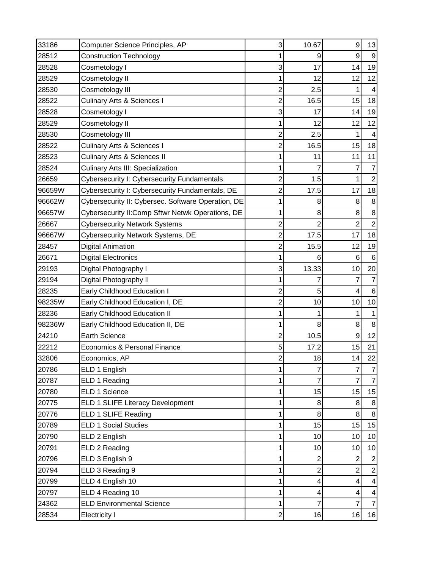| 33186  | Computer Science Principles, AP                    | 3              | 10.67          | 9               | 13             |
|--------|----------------------------------------------------|----------------|----------------|-----------------|----------------|
| 28512  | <b>Construction Technology</b>                     |                | 9              | 9               | 9              |
| 28528  | Cosmetology I                                      | 3              | 17             | 14              | 19             |
| 28529  | Cosmetology II                                     | 1              | 12             | 12              | 12             |
| 28530  | Cosmetology III                                    | $\overline{2}$ | 2.5            | 1               |                |
| 28522  | <b>Culinary Arts &amp; Sciences I</b>              | $\overline{2}$ | 16.5           | 15              | 18             |
| 28528  | Cosmetology I                                      | 3              | 17             | 14              | 19             |
| 28529  | Cosmetology II                                     |                | 12             | 12              | 12             |
| 28530  | Cosmetology III                                    | $\overline{2}$ | 2.5            | 1               |                |
| 28522  | <b>Culinary Arts &amp; Sciences I</b>              | $\overline{2}$ | 16.5           | 15              | 18             |
| 28523  | <b>Culinary Arts &amp; Sciences II</b>             | 1              | 11             | 11              | 11             |
| 28524  | <b>Culinary Arts III: Specialization</b>           |                |                | 7               |                |
| 26659  | Cybersecurity I: Cybersecurity Fundamentals        | $\overline{2}$ | 1.5            | 1               |                |
| 96659W | Cybersecurity I: Cybersecurity Fundamentals, DE    | $\overline{2}$ | 17.5           | 17              | 18             |
| 96662W | Cybersecurity II: Cybersec. Software Operation, DE | 1              | 8              | 8               | 8              |
| 96657W | Cybersecurity II: Comp Sftwr Netwk Operations, DE  | 1              | 8              | 8               | 8              |
| 26667  | <b>Cybersecurity Network Systems</b>               | 2              | 2              | 2               | 2              |
| 96667W | Cybersecurity Network Systems, DE                  | $\overline{2}$ | 17.5           | 17              | 18             |
| 28457  | <b>Digital Animation</b>                           | $\overline{2}$ | 15.5           | 12              | 19             |
| 26671  | <b>Digital Electronics</b>                         | 1              | 6              | $6\phantom{1}6$ | 6              |
| 29193  | Digital Photography I                              | 3              | 13.33          | 10              | 20             |
| 29194  | Digital Photography II                             |                | 7              | 7               |                |
| 28235  | Early Childhood Education I                        | $\overline{c}$ | 5              | 4               | 6              |
| 98235W | Early Childhood Education I, DE                    | $\overline{2}$ | 10             | 10              | 10             |
| 28236  | Early Childhood Education II                       | 1              |                | 1               |                |
| 98236W | Early Childhood Education II, DE                   | 1              | 8              | 8               | 8              |
| 24210  | <b>Earth Science</b>                               | $\overline{2}$ | 10.5           | 9               | 12             |
| 22212  | Economics & Personal Finance                       | 5              | 17.2           | 15              | 21             |
| 32806  | Economics, AP                                      | $\overline{2}$ | 18             | 14              | 22             |
| 20786  | ELD 1 English                                      | 1              | 7              | 7               | 7              |
| 20787  | ELD 1 Reading                                      | 1              | 7              | 7               |                |
| 20780  | ELD 1 Science                                      | 1              | 15             | 15              | 15             |
| 20775  | ELD 1 SLIFE Literacy Development                   | 1              | 8 <sup>1</sup> | $\bf 8$         | 8              |
| 20776  | ELD 1 SLIFE Reading                                | 1              | 8 <sup>1</sup> | 8               | 8              |
| 20789  | <b>ELD 1 Social Studies</b>                        | 1              | 15             | 15              | 15             |
| 20790  | ELD 2 English                                      | 1              | 10             | 10              | 10             |
| 20791  | ELD 2 Reading                                      | 1              | 10             | 10              | 10             |
| 20796  | ELD 3 English 9                                    | 1              | 2              | 2               | 2              |
| 20794  | ELD 3 Reading 9                                    | 1              | $\mathbf{2}$   | 2               | $\overline{2}$ |
| 20799  | ELD 4 English 10                                   |                | 4              | 4               |                |
| 20797  | ELD 4 Reading 10                                   | 1              | 4              | 4               | 4              |
| 24362  | <b>ELD Environmental Science</b>                   | 1              | 7              | $\overline{7}$  | 7              |
| 28534  | Electricity I                                      | $\overline{2}$ | 16             | 16              | 16             |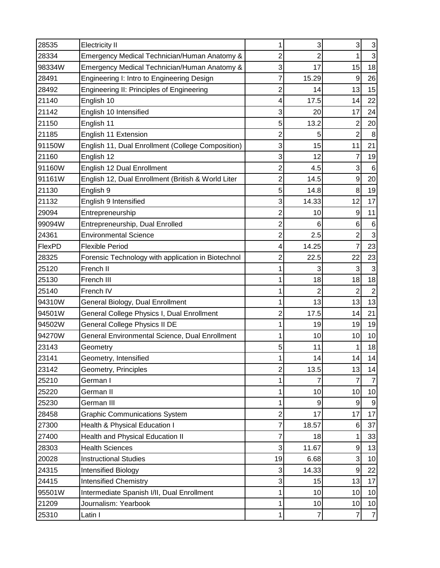| 28535  | <b>Electricity II</b>                              |                | 3              | 3                | 3              |
|--------|----------------------------------------------------|----------------|----------------|------------------|----------------|
| 28334  | Emergency Medical Technician/Human Anatomy &       | 2              | 2              |                  | 3              |
| 98334W | Emergency Medical Technician/Human Anatomy &       | 3              | 17             | 15               | 18             |
| 28491  | Engineering I: Intro to Engineering Design         | 7              | 15.29          | 9                | 26             |
| 28492  | Engineering II: Principles of Engineering          | 2              | 14             | 13               | 15             |
| 21140  | English 10                                         | 4              | 17.5           | 14               | 22             |
| 21142  | English 10 Intensified                             | 3              | 20             | 17               | 24             |
| 21150  | English 11                                         | 5              | 13.2           | 2                | 20             |
| 21185  | English 11 Extension                               | $\overline{2}$ | 5              | $\overline{2}$   | 8              |
| 91150W | English 11, Dual Enrollment (College Composition)  | 3              | 15             | 11               | 21             |
| 21160  | English 12                                         | 3              | 12             | 7                | 19             |
| 91160W | English 12 Dual Enrollment                         | 2              | 4.5            | 3                | $\,6$          |
| 91161W | English 12, Dual Enrollment (British & World Liter | $\overline{c}$ | 14.5           | $\boldsymbol{9}$ | 20             |
| 21130  | English 9                                          | 5              | 14.8           | 8                | 19             |
| 21132  | English 9 Intensified                              | 3              | 14.33          | 12               | 17             |
| 29094  | Entrepreneurship                                   | $\overline{c}$ | 10             | 9                | 11             |
| 99094W | Entrepreneurship, Dual Enrolled                    | $\overline{2}$ | 6              | 6                | $\,6$          |
| 24361  | <b>Environmental Science</b>                       | $\overline{c}$ | 2.5            | 2                | 3              |
| FlexPD | <b>Flexible Period</b>                             | 4              | 14.25          | 7                | 23             |
| 28325  | Forensic Technology with application in Biotechnol | 2              | 22.5           | 22               | 23             |
| 25120  | French II                                          |                |                | 3                |                |
| 25130  | French III                                         |                | 18             | 18               | 18             |
| 25140  | French IV                                          |                | 2              | $\overline{2}$   | $\overline{2}$ |
| 94310W | General Biology, Dual Enrollment                   |                | 13             | 13               | 13             |
| 94501W | General College Physics I, Dual Enrollment         | 2              | 17.5           | 14               | 21             |
| 94502W | General College Physics II DE                      |                | 19             | 19               | 19             |
| 94270W | General Environmental Science, Dual Enrollment     | 1              | 10             | 10               | 10             |
| 23143  | Geometry                                           | 5              | 11             | 1                | 18             |
| 23141  | Geometry, Intensified                              | 1              | 14             | 14               | 14             |
| 23142  | Geometry, Principles                               | 2              | 13.5           | 13               | 14             |
| 25210  | German I                                           |                | 7              | 7                |                |
| 25220  | German II                                          | 1              | 10             | 10               | 10             |
| 25230  | German III                                         | 1              | 9              | 9                |                |
| 28458  | <b>Graphic Communications System</b>               | $\overline{c}$ | 17             | 17               | 17             |
| 27300  | Health & Physical Education I                      | 7              | 18.57          | 6                | 37             |
| 27400  | Health and Physical Education II                   | 7              | 18             | 1                | 33             |
| 28303  | <b>Health Sciences</b>                             | 3              | 11.67          | 9                | 13             |
| 20028  | <b>Instructional Studies</b>                       | 19             | 6.68           | 3                | 10             |
| 24315  | Intensified Biology                                | 3              | 14.33          | 9                | 22             |
| 24415  | <b>Intensified Chemistry</b>                       | 3              | 15             | 13               | 17             |
| 95501W | Intermediate Spanish I/II, Dual Enrollment         |                | 10             | 10               | 10             |
| 21209  | Journalism: Yearbook                               | 1              | 10             | 10               | 10             |
| 25310  | Latin I                                            | 1              | $\overline{7}$ | $\overline{7}$   | $\overline{7}$ |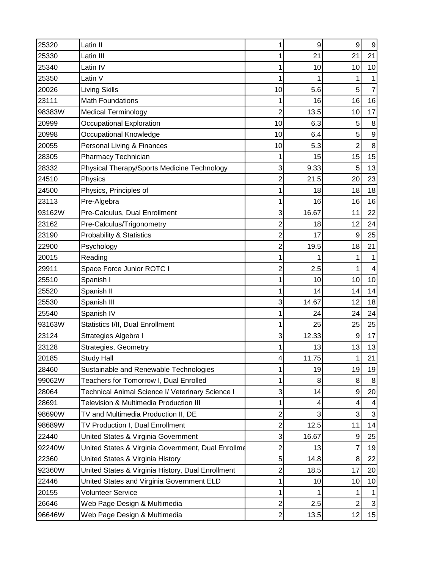| 25320  | Latin II                                           | 1              | 9              | 9              | 9  |
|--------|----------------------------------------------------|----------------|----------------|----------------|----|
| 25330  | Latin III                                          |                | 21             | 21             | 21 |
| 25340  | Latin IV                                           | 1              | 10             | 10             | 10 |
| 25350  | Latin V                                            | 1              |                | 1              |    |
| 20026  | <b>Living Skills</b>                               | 10             | 5.6            | 5              |    |
| 23111  | <b>Math Foundations</b>                            | 1              | 16             | 16             | 16 |
| 98383W | <b>Medical Terminology</b>                         | $\overline{2}$ | 13.5           | 10             | 17 |
| 20999  | Occupational Exploration                           | 10             | 6.3            | 5              | 8  |
| 20998  | Occupational Knowledge                             | 10             | 6.4            | 5              | 9  |
| 20055  | Personal Living & Finances                         | 10             | 5.3            | $\overline{2}$ | 8  |
| 28305  | Pharmacy Technician                                | 1              | 15             | 15             | 15 |
| 28332  | Physical Therapy/Sports Medicine Technology        | 3              | 9.33           | 5              | 13 |
| 24510  | Physics                                            | $\overline{2}$ | 21.5           | 20             | 23 |
| 24500  | Physics, Principles of                             | 1              | 18             | 18             | 18 |
| 23113  | Pre-Algebra                                        | 1              | 16             | 16             | 16 |
| 93162W | Pre-Calculus, Dual Enrollment                      | 3              | 16.67          | 11             | 22 |
| 23162  | Pre-Calculus/Trigonometry                          | $\overline{2}$ | 18             | 12             | 24 |
| 23190  | <b>Probability &amp; Statistics</b>                | $\overline{2}$ | 17             | 9              | 25 |
| 22900  | Psychology                                         | $\overline{2}$ | 19.5           | 18             | 21 |
| 20015  | Reading                                            | 1              |                | 1              |    |
| 29911  | Space Force Junior ROTC I                          | $\overline{2}$ | 2.5            | 1              |    |
| 25510  | Spanish I                                          | 1              | 10             | 10             | 10 |
| 25520  | Spanish II                                         |                | 14             | 14             | 14 |
| 25530  | Spanish III                                        | 3              | 14.67          | 12             | 18 |
| 25540  | Spanish IV                                         | 1              | 24             | 24             | 24 |
| 93163W | Statistics I/II, Dual Enrollment                   | 1              | 25             | 25             | 25 |
| 23124  | Strategies Algebra I                               | 3              | 12.33          | 9              | 17 |
| 23128  | Strategies, Geometry                               |                | 13             | 13             | 13 |
| 20185  | <b>Study Hall</b>                                  | 4              | 11.75          | 1              | 21 |
| 28460  | Sustainable and Renewable Technologies             | 1              | 19             | 19             | 19 |
| 99062W | Teachers for Tomorrow I, Dual Enrolled             | 1              | 8              | 8              | 8  |
| 28064  | Technical Animal Science I/ Veterinary Science I   | 3              | 14             | 9              | 20 |
| 28691  | Television & Multimedia Production III             | 1              | 4              | 4              |    |
| 98690W | TV and Multimedia Production II, DE                | $\overline{c}$ | $\overline{3}$ | 3              | 3  |
| 98689W | TV Production I, Dual Enrollment                   | $\overline{c}$ | 12.5           | 11             | 14 |
| 22440  | United States & Virginia Government                | 3              | 16.67          | 9              | 25 |
| 92240W | United States & Virginia Government, Dual Enrollme | $\overline{c}$ | 13             | 7              | 19 |
| 22360  | United States & Virginia History                   | 5              | 14.8           | 8              | 22 |
| 92360W | United States & Virginia History, Dual Enrollment  | $\overline{c}$ | 18.5           | 17             | 20 |
| 22446  | United States and Virginia Government ELD          | 1              | 10             | 10             | 10 |
| 20155  | <b>Volunteer Service</b>                           | 1              |                | 1              |    |
| 26646  | Web Page Design & Multimedia                       | $\overline{c}$ | 2.5            | $\overline{c}$ | 3  |
| 96646W | Web Page Design & Multimedia                       | $\overline{c}$ | 13.5           | 12             | 15 |